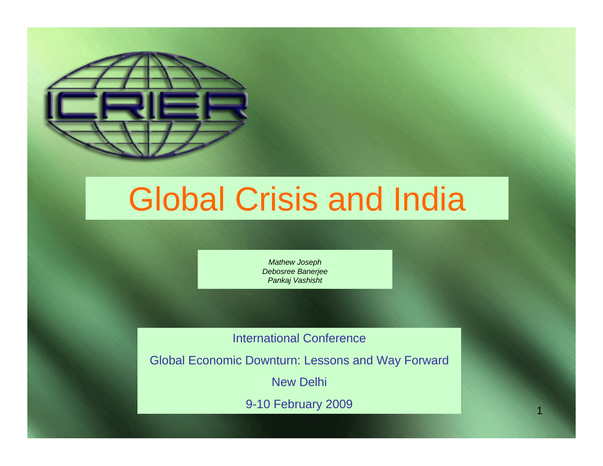

# Global Crisis and India

*Mathew Joseph Debosree Banerjee Pankaj Vashisht*

International Conference

Global Economic Downturn: Lessons and Way Forward

New Delhi

9-10 February 2009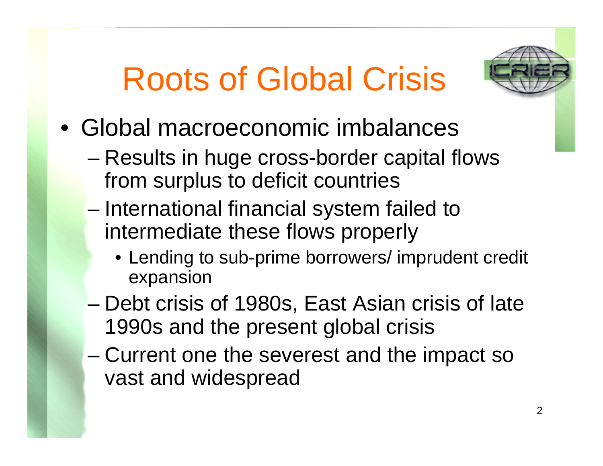# Roots of Global Crisis



- Global macroeconomic imbalances
	- – Results in huge cross-border capital flows from surplus to deficit countries
	- – International financial system failed to intermediate these flows properly
		- Lending to sub-prime borrowers/ imprudent credit expansion
	- – Debt crisis of 1980s, East Asian crisis of late 1990s and the present global crisis
	- – Current one the severest and the impact so vast and widespread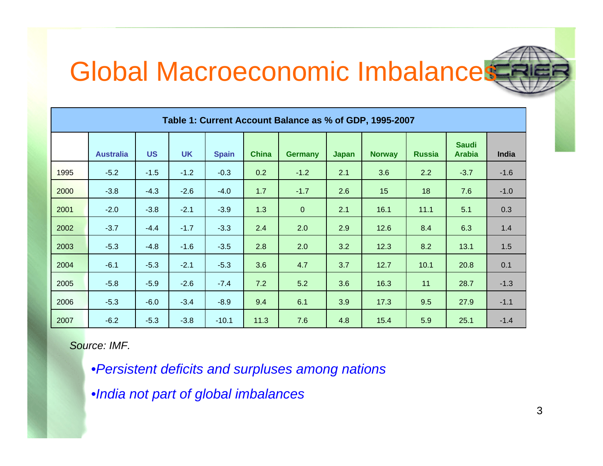### Global Macroeconomic Imbalances

| Table 1: Current Account Balance as % of GDP, 1995-2007 |                  |           |           |              |              |                |              |               |               |                               |        |
|---------------------------------------------------------|------------------|-----------|-----------|--------------|--------------|----------------|--------------|---------------|---------------|-------------------------------|--------|
|                                                         | <b>Australia</b> | <b>US</b> | <b>UK</b> | <b>Spain</b> | <b>China</b> | <b>Germany</b> | <b>Japan</b> | <b>Norway</b> | <b>Russia</b> | <b>Saudi</b><br><b>Arabia</b> | India  |
| 1995                                                    | $-5.2$           | $-1.5$    | $-1.2$    | $-0.3$       | 0.2          | $-1.2$         | 2.1          | 3.6           | 2.2           | $-3.7$                        | $-1.6$ |
| 2000                                                    | $-3.8$           | $-4.3$    | $-2.6$    | $-4.0$       | 1.7          | $-1.7$         | 2.6          | 15            | 18            | 7.6                           | $-1.0$ |
| 2001                                                    | $-2.0$           | $-3.8$    | $-2.1$    | $-3.9$       | 1.3          | $\mathbf{0}$   | 2.1          | 16.1          | 11.1          | 5.1                           | 0.3    |
| 2002                                                    | $-3.7$           | $-4.4$    | $-1.7$    | $-3.3$       | 2.4          | 2.0            | 2.9          | 12.6          | 8.4           | 6.3                           | 1.4    |
| 2003                                                    | $-5.3$           | $-4.8$    | $-1.6$    | $-3.5$       | 2.8          | 2.0            | 3.2          | 12.3          | 8.2           | 13.1                          | 1.5    |
| 2004                                                    | $-6.1$           | $-5.3$    | $-2.1$    | $-5.3$       | 3.6          | 4.7            | 3.7          | 12.7          | 10.1          | 20.8                          | 0.1    |
| 2005                                                    | $-5.8$           | $-5.9$    | $-2.6$    | $-7.4$       | 7.2          | 5.2            | 3.6          | 16.3          | 11            | 28.7                          | $-1.3$ |
| 2006                                                    | $-5.3$           | $-6.0$    | $-3.4$    | $-8.9$       | 9.4          | 6.1            | 3.9          | 17.3          | 9.5           | 27.9                          | $-1.1$ |
| 2007                                                    | $-6.2$           | $-5.3$    | $-3.8$    | $-10.1$      | 11.3         | 7.6            | 4.8          | 15.4          | 5.9           | 25.1                          | $-1.4$ |

*Source: IMF.*

•*Persistent deficits and surpluses among nations*

•*India not part of global imbalances*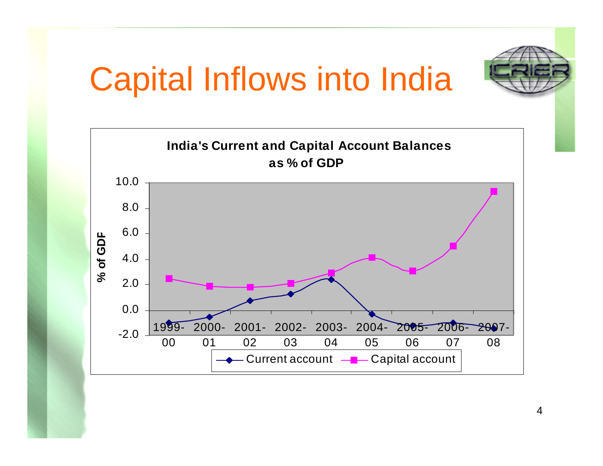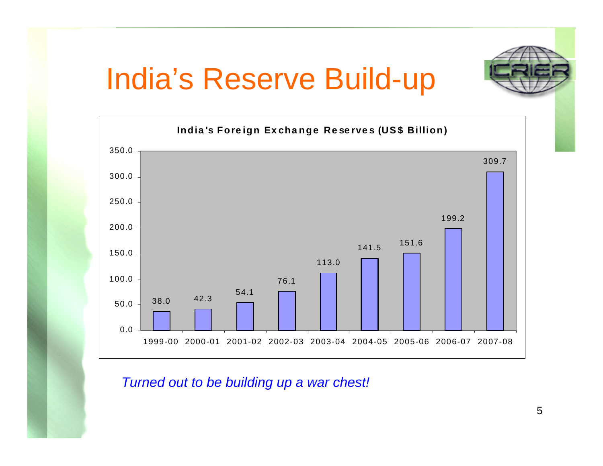## India's Reserve Build-up



*Turned out to be building up a war chest!*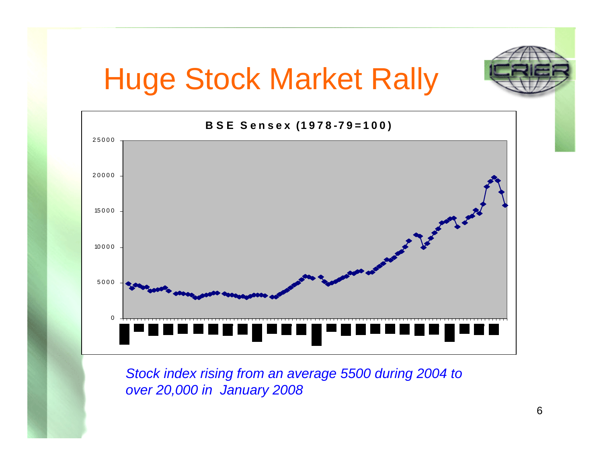

*Stock index rising from an average 5500 during 2004 to over 20,000 in January 2008*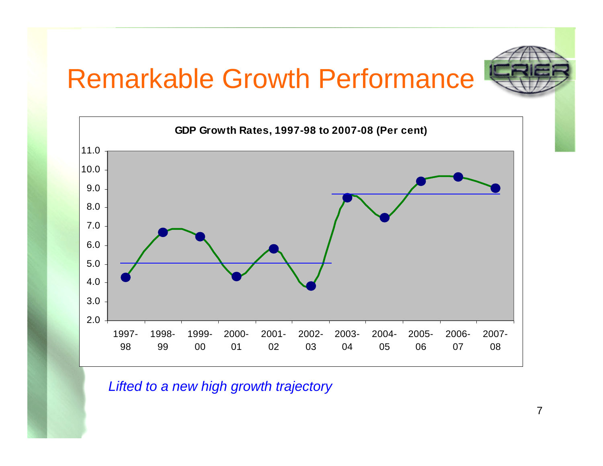#### Remarkable Growth Performance





*Lifted to a new high growth trajectory*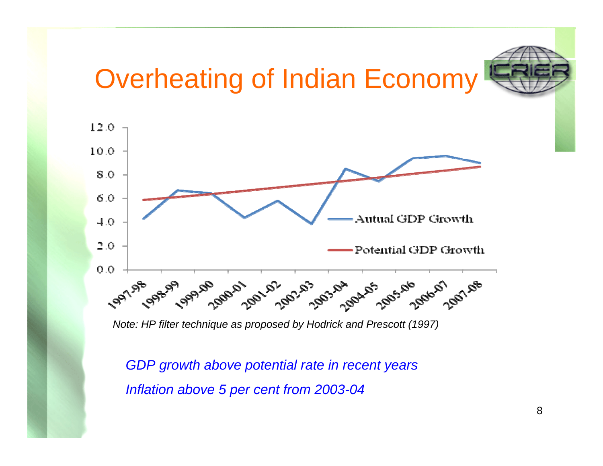## Overheating of Indian Economy



*Note: HP filter technique as proposed by Hodrick and Prescott (1997)*

*GDP growth above potential rate in recent years Inflation above 5 per cent from 2003-04*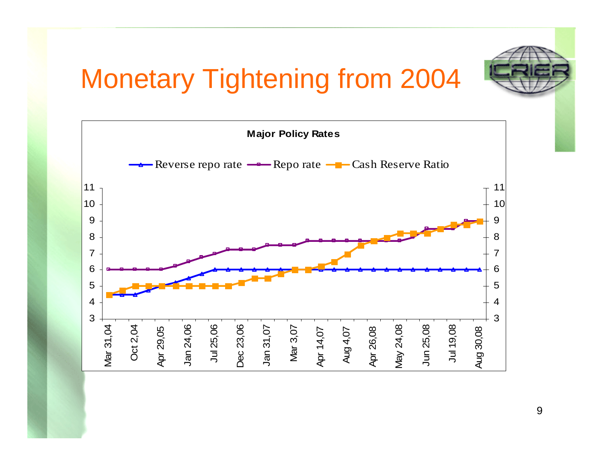## Monetary Tightening from 2004

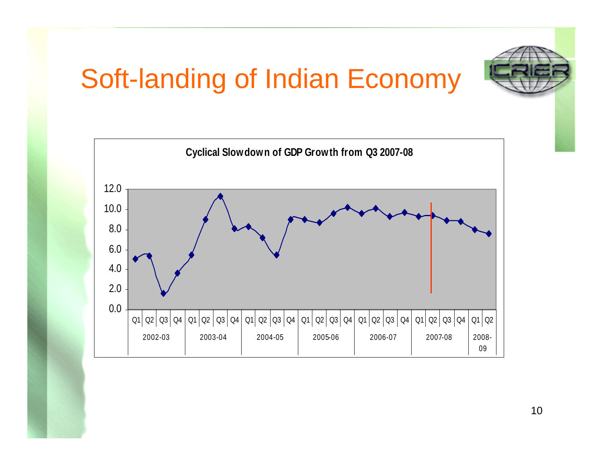### Soft-landing of Indian Economy



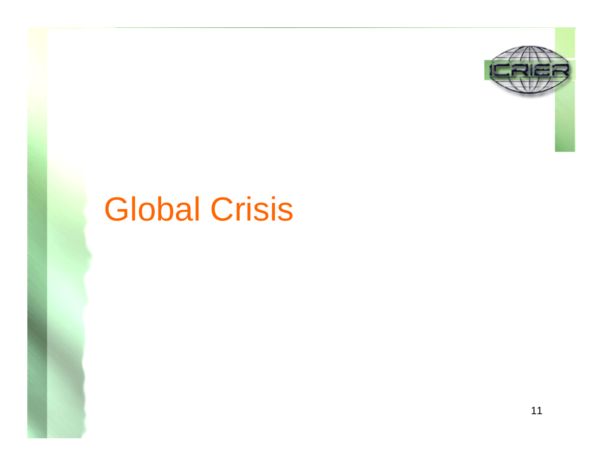

# Global Crisis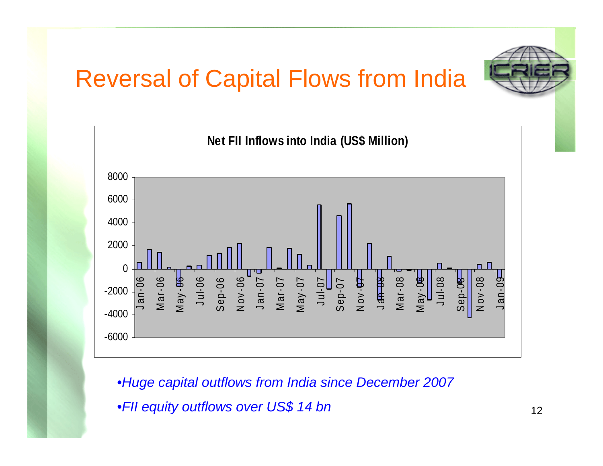#### Reversal of Capital Flows from India





•*Huge capital outflows from India since December 2007* •*FII equity outflows over US\$ 14 bn*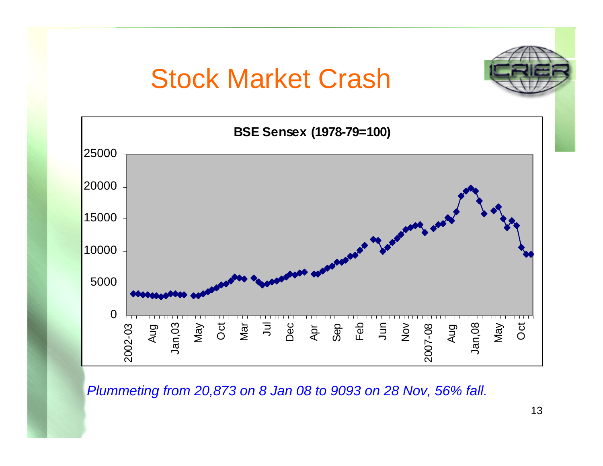#### Stock Market Crash





*Plummeting from 20,873 on 8 Jan 08 to 9093 on 28 Nov, 56% fall.*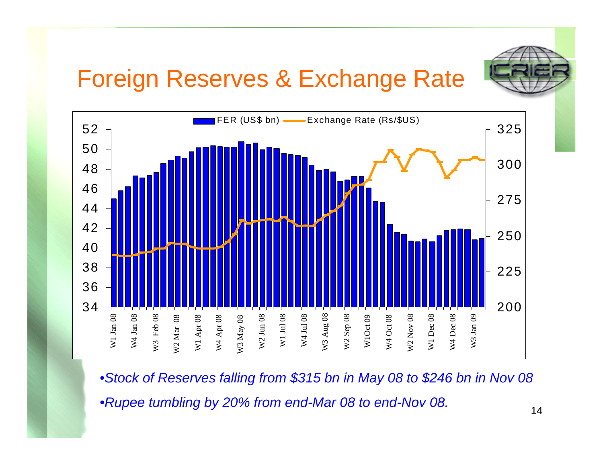#### Foreign Reserves & Exchange Rate



•*Stock of Reserves falling from \$315 bn in May 08 to \$246 bn in Nov 08*

•*Rupee tumbling by 20% from end-Mar 08 to end-Nov 08.*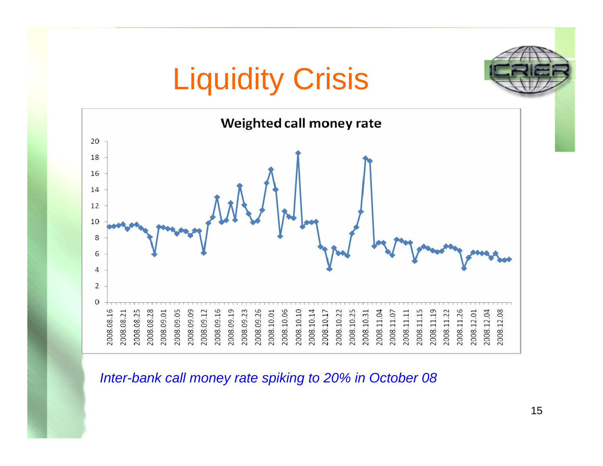

*Inter-bank call money rate spiking to 20% in October 08*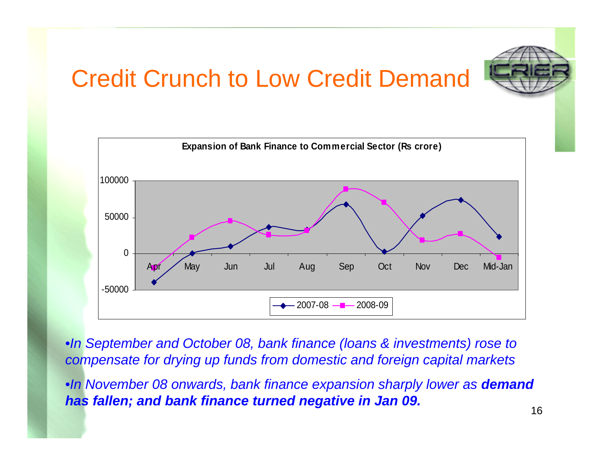#### Credit Crunch to Low Credit Demand





•*In September and October 08, bank finance (loans & investments) rose to compensate for drying up funds from domestic and foreign capital markets*

•*In November 08 onwards, bank finance expansion sharply lower as demand has fallen; and bank finance turned negative in Jan 09.*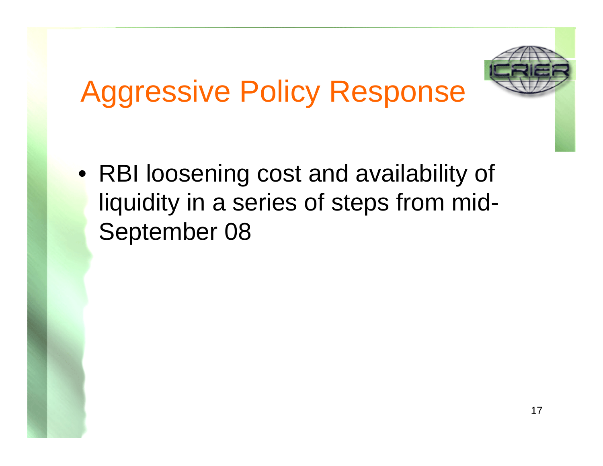

# Aggressive Policy Response

• RBI loosening cost and availability of liquidity in a series of steps from mid-September 08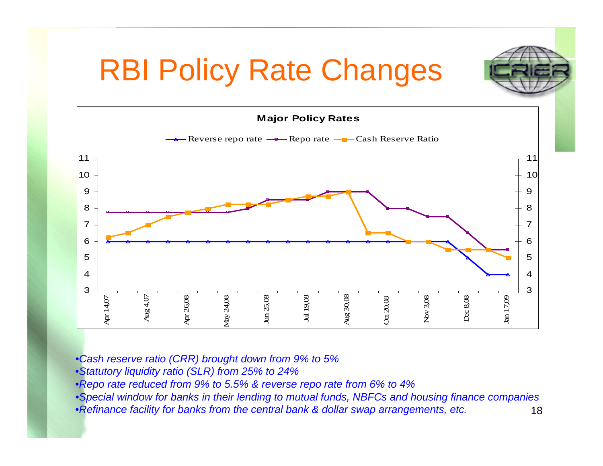## RBI Policy Rate Changes



- •*Cash reserve ratio (CRR) brought down from 9% to 5%*
- •*Statutory liquidity ratio (SLR) from 25% to 24%*
- •*Repo rate reduced from 9% to 5.5% & reverse repo rate from 6% to 4%*
- •*Special window for banks in their lending to mutual funds, NBFCs and housing finance companies*
- •*Refinance facility for banks from the central bank & dollar swap arrangements, etc.*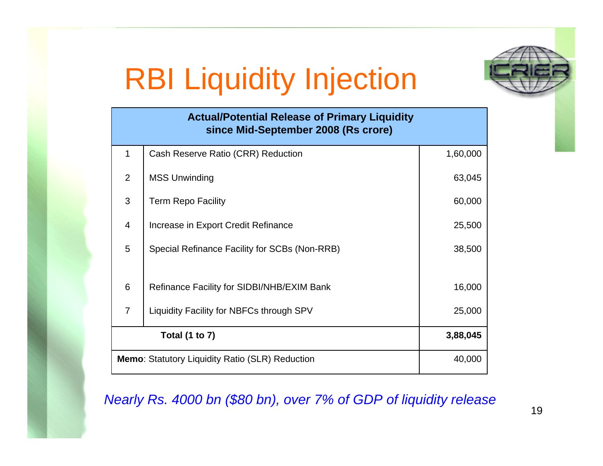# RBI Liquidity Injection



| <b>Actual/Potential Release of Primary Liquidity</b><br>since Mid-September 2008 (Rs crore) |                                                                  |          |  |  |  |
|---------------------------------------------------------------------------------------------|------------------------------------------------------------------|----------|--|--|--|
| $\mathbf{1}$                                                                                | Cash Reserve Ratio (CRR) Reduction                               | 1,60,000 |  |  |  |
| 2                                                                                           | <b>MSS Unwinding</b>                                             | 63,045   |  |  |  |
| 3                                                                                           | <b>Term Repo Facility</b>                                        | 60,000   |  |  |  |
| $\overline{4}$                                                                              | Increase in Export Credit Refinance                              | 25,500   |  |  |  |
| 5                                                                                           | Special Refinance Facility for SCBs (Non-RRB)                    | 38,500   |  |  |  |
| 6                                                                                           | Refinance Facility for SIDBI/NHB/EXIM Bank                       | 16,000   |  |  |  |
| $\overline{7}$                                                                              | Liquidity Facility for NBFCs through SPV                         | 25,000   |  |  |  |
|                                                                                             | <b>Total (1 to 7)</b><br>3,88,045                                |          |  |  |  |
|                                                                                             | <b>Memo: Statutory Liquidity Ratio (SLR) Reduction</b><br>40,000 |          |  |  |  |

*Nearly Rs. 4000 bn (\$80 bn), over 7% of GDP of liquidity release*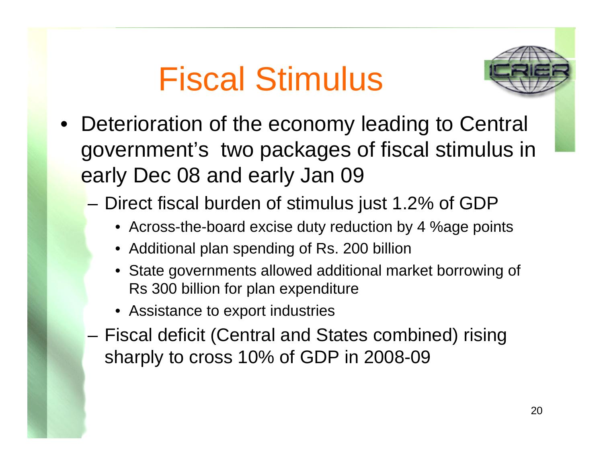# Fiscal Stimulus



- Deterioration of the economy leading to Central government's two packages of fiscal stimulus in early Dec 08 and early Jan 09
	- Direct fiscal burden of stimulus just 1.2% of GDP
		- Across-the-board excise duty reduction by 4 %age points
		- Additional plan spending of Rs. 200 billion
		- State governments allowed additional market borrowing of Rs 300 billion for plan expenditure
		- Assistance to export industries
	- Fiscal deficit (Central and States combined) rising sharply to cross 10% of GDP in 2008-09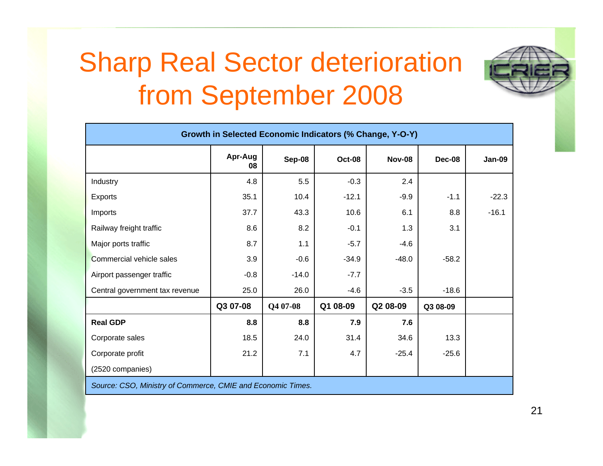## Sharp Real Sector deterioration from September 2008



| Growth in Selected Economic Indicators (% Change, Y-O-Y) |               |          |               |               |          |               |
|----------------------------------------------------------|---------------|----------|---------------|---------------|----------|---------------|
|                                                          | Apr-Aug<br>08 | Sep-08   | <b>Oct-08</b> | <b>Nov-08</b> | Dec-08   | <b>Jan-09</b> |
| Industry                                                 | 4.8           | 5.5      | $-0.3$        | 2.4           |          |               |
| <b>Exports</b>                                           | 35.1          | 10.4     | $-12.1$       | $-9.9$        | $-1.1$   | $-22.3$       |
| Imports                                                  | 37.7          | 43.3     | 10.6          | 6.1           | 8.8      | $-16.1$       |
| Railway freight traffic                                  | 8.6           | 8.2      | $-0.1$        | 1.3           | 3.1      |               |
| Major ports traffic                                      | 8.7           | 1.1      | $-5.7$        | $-4.6$        |          |               |
| Commercial vehicle sales                                 | 3.9           | $-0.6$   | $-34.9$       | $-48.0$       | $-58.2$  |               |
| Airport passenger traffic                                | $-0.8$        | $-14.0$  | $-7.7$        |               |          |               |
| Central government tax revenue                           | 25.0          | 26.0     | $-4.6$        | $-3.5$        | $-18.6$  |               |
|                                                          | Q3 07-08      | Q4 07-08 | Q1 08-09      | Q2 08-09      | Q3 08-09 |               |
| <b>Real GDP</b>                                          | 8.8           | 8.8      | 7.9           | 7.6           |          |               |
| Corporate sales                                          | 18.5          | 24.0     | 31.4          | 34.6          | 13.3     |               |
| Corporate profit                                         | 21.2          | 7.1      | 4.7           | $-25.4$       | $-25.6$  |               |
| (2520 companies)                                         |               |          |               |               |          |               |

*Source: CSO, Ministry of Commerce, CMIE and Economic Times.*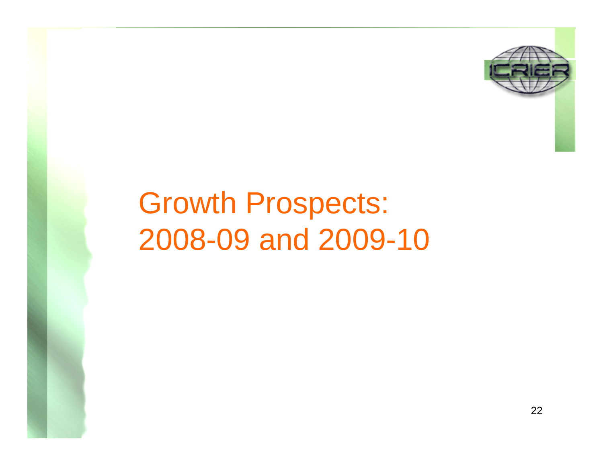

# Growth Prospects: 2008-09 and 2009-10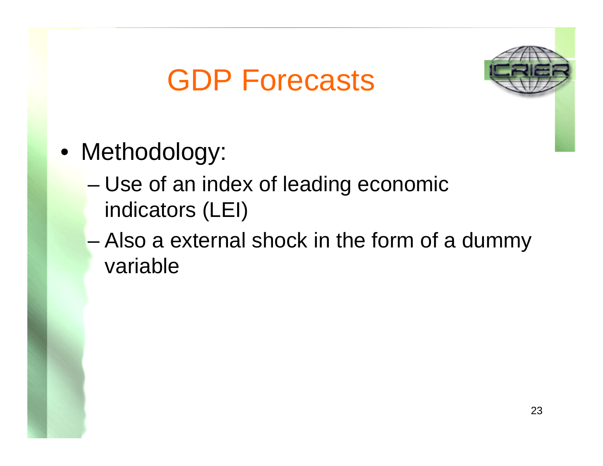## GDP Forecasts



- Methodology:
	- – Use of an index of leading economic indicators (LEI)
	- – Also a external shock in the form of a dummy variable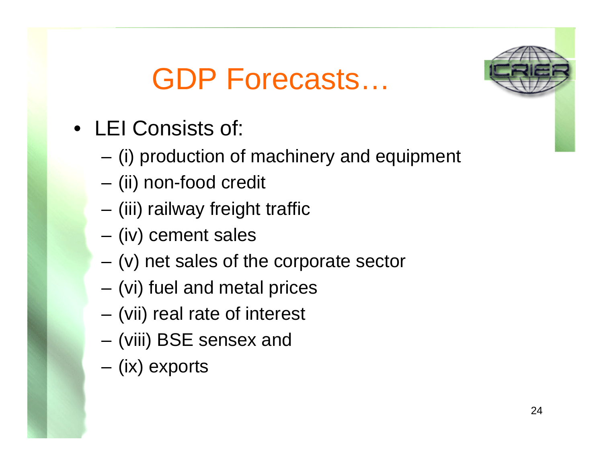## GDP Forecasts…



- LEI Consists of:
	- (i) production of machinery and equipment
	- (ii) non-food credit
	- (iii) railway freight traffic
	- (iv) cement sales
	- (v) net sales of the corporate sector
	- (vi) fuel and metal prices
	- (vii) real rate of interest
	- (viii) BSE sensex and
	- (ix) exports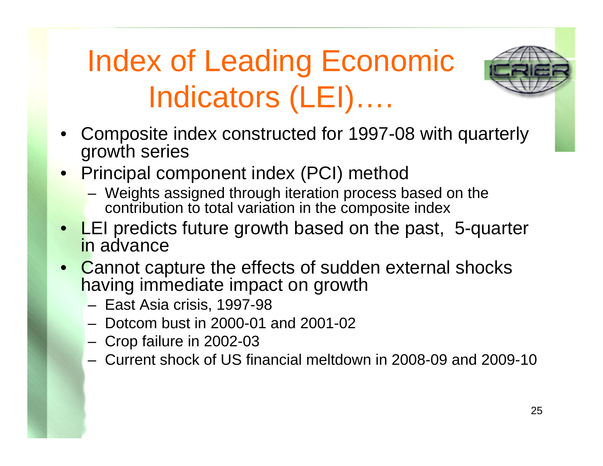# Index of Leading Economic Indicators (LEI)….



- • Composite index constructed for 1997-08 with quarterly growth series
- • Principal component index (PCI) method
	- Weights assigned through iteration process based on the contribution to total variation in the composite index
- •LEI predicts future growth based on the past, 5-quarter in advance
- • Cannot capture the effects of sudden external shocks having immediate impact on growth
	- East Asia crisis, 1997-98
	- Dotcom bust in 2000-01 and 2001-02
	- Crop failure in 2002-03
	- Current shock of US financial meltdown in 2008-09 and 2009-10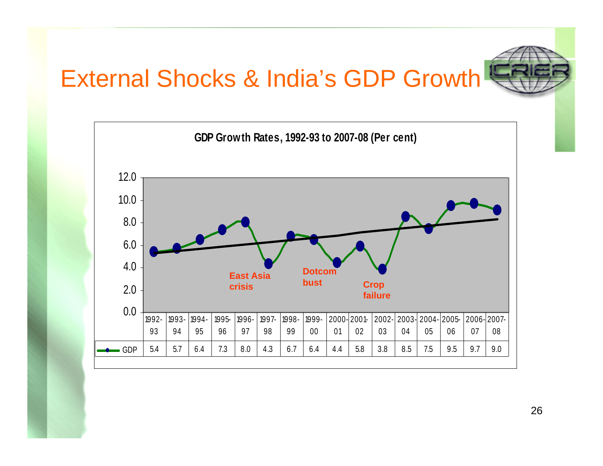#### External Shocks & India's GDP Growth



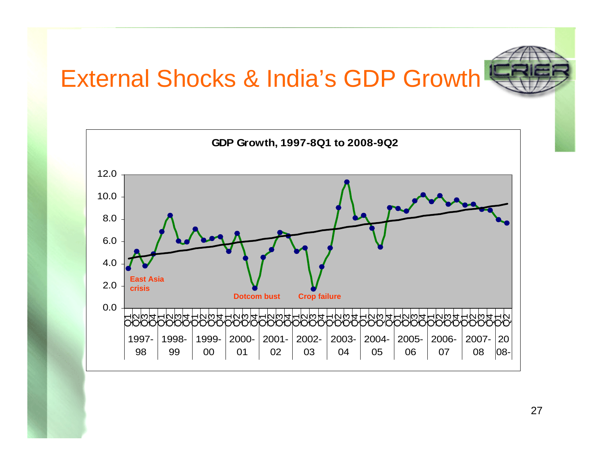#### External Shocks & India's GDP Growth



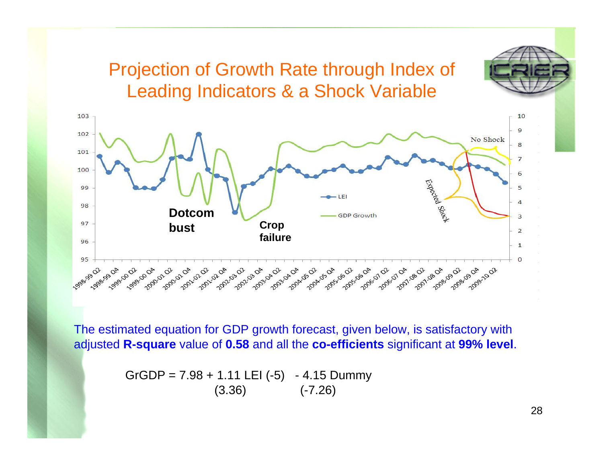#### Projection of Growth Rate through Index of Leading Indicators & a Shock Variable



The estimated equation for GDP growth forecast, given below, is satisfactory with adjusted **R-square** value of **0.58** and all the **co-efficients** significant at **99% level**.

> $GrGDP = 7.98 + 1.11$  LEI (-5) - 4.15 Dummy  $(3.36)$   $(-7.26)$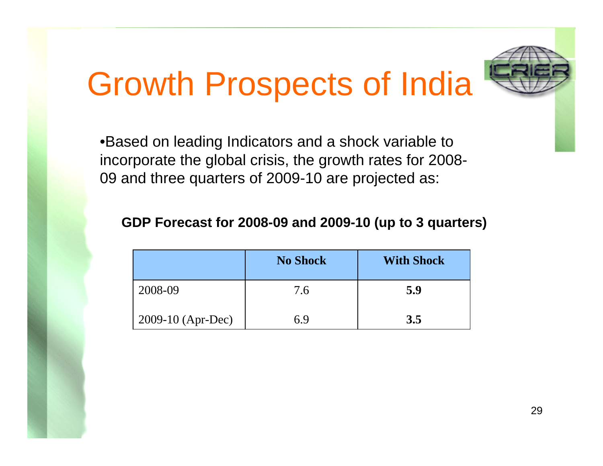# Growth Prospects of India

•Based on leading Indicators and a shock variable to incorporate the global crisis, the growth rates for 2008- 09 and three quarters of 2009-10 are projected as:

#### **GDP Forecast for 2008-09 and 2009-10 (up to 3 quarters)**

|                     | <b>No Shock</b> | <b>With Shock</b> |
|---------------------|-----------------|-------------------|
| 2008-09             | 7.6             | 5.9               |
| $2009-10$ (Apr-Dec) | 69              | 3.5               |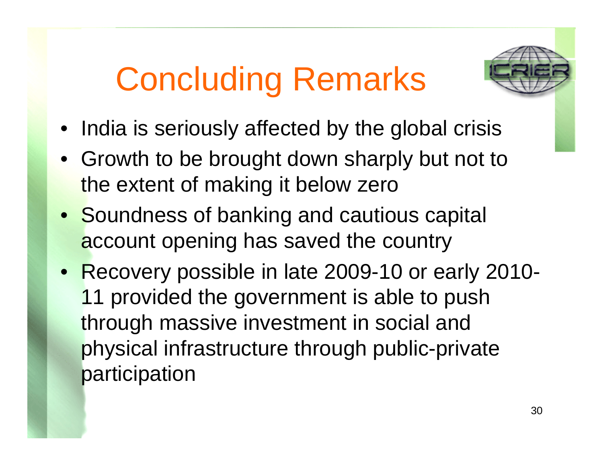# Concluding Remarks



- India is seriously affected by the global crisis
- Growth to be brought down sharply but not to the extent of making it below zero
- Soundness of banking and cautious capital account opening has saved the country
- Recovery possible in late 2009-10 or early 2010- 11 provided the government is able to push through massive investment in social and physical infrastructure through public-private participation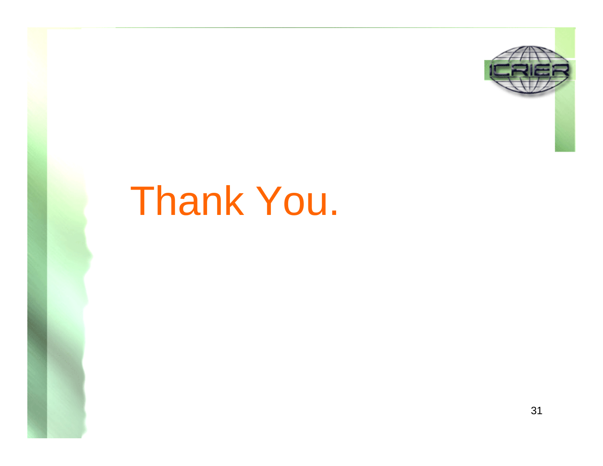

# Thank You.